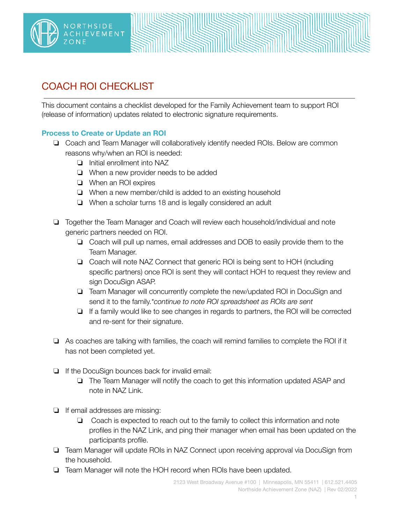



This document contains a checklist developed for the Family Achievement team to support ROI (release of information) updates related to electronic signature requirements.

## **Process to Create or Update an ROI**

- ❏ Coach and Team Manager will collaboratively identify needed ROIs. Below are common reasons why/when an ROI is needed:
	- ❏ Initial enrollment into NAZ
	- ❏ When a new provider needs to be added
	- ❏ When an ROI expires
	- ❏ When a new member/child is added to an existing household
	- ❏ When a scholar turns 18 and is legally considered an adult
- ❏ Together the Team Manager and Coach will review each household/individual and note generic partners needed on ROI.
	- ❏ Coach will pull up names, email addresses and DOB to easily provide them to the Team Manager.
	- ❏ Coach will note NAZ Connect that generic ROI is being sent to HOH (including specific partners) once ROI is sent they will contact HOH to request they review and sign DocuSign ASAP.
	- ❏ Team Manager will concurrently complete the new/updated ROI in DocuSign and send it to the family.*\*continue to note ROI spreadsheet as ROIs are sent*
	- ❏ If a family would like to see changes in regards to partners, the ROI will be corrected and re-sent for their signature.
- ❏ As coaches are talking with families, the coach will remind families to complete the ROI if it has not been completed yet.
- ❏ If the DocuSign bounces back for invalid email:
	- ❏ The Team Manager will notify the coach to get this information updated ASAP and note in NAZ Link.
- ❏ If email addresses are missing:
	- ❏ Coach is expected to reach out to the family to collect this information and note profiles in the NAZ Link, and ping their manager when email has been updated on the participants profile.
- ❏ Team Manager will update ROIs in NAZ Connect upon receiving approval via DocuSign from the household.
- ❏ Team Manager will note the HOH record when ROIs have been updated.